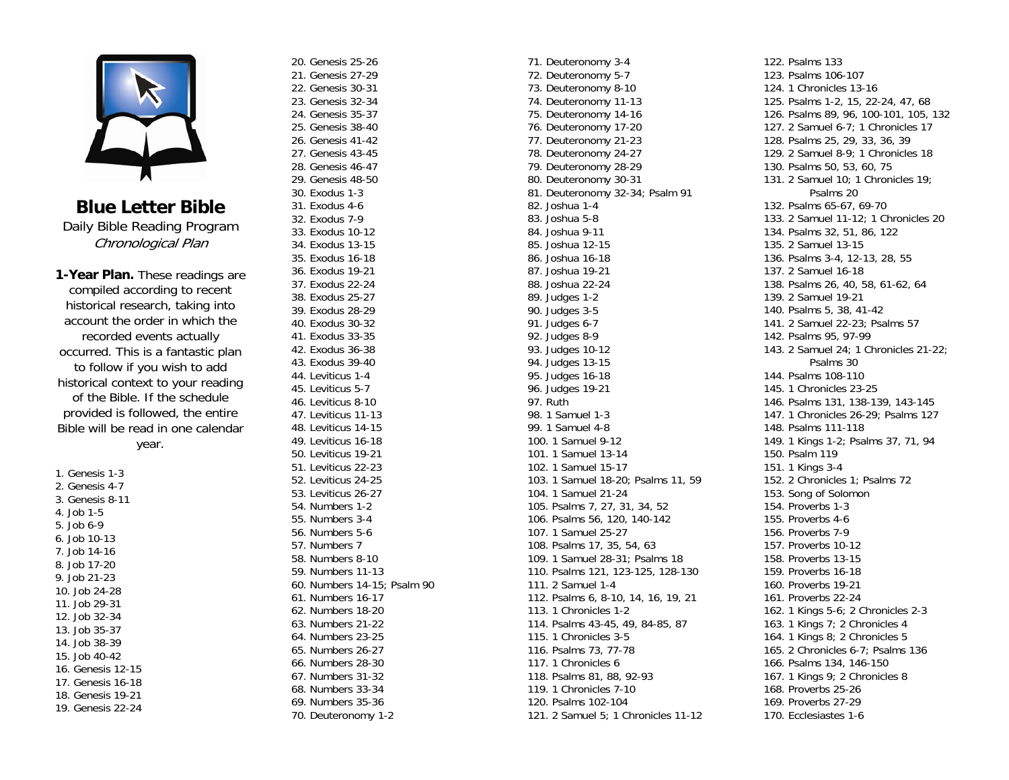

**Blue Letter Bible** Daily Bible Reading Program Chronological Plan

**1-Year Plan.** These readings are compiled according to recent historical research, taking into account the order in which the recorded events actually occurred. This is a fantastic plan to follow if you wish to add historical context to your reading of the Bible. If the schedule provided is followed, the entire Bible will be read in one calendar year.

1. Genesis 1-3 2. Genesis 4-7 3. Genesis 8-11 4. Job 1-5 5. Job 6-9 6. Job 10-13 7. Job 14-16 8. Job 17-20 9. Job 21-23 10. Job 24-28 11. Job 29-31 12. Job 32-34 13. Job 35-37 14. Job 38-39 15. Job 40-42 16. Genesis 12-15 17. Genesis 16-18 18. Genesis 19-21 19. Genesis 22-24

20. Genesis 25-26 21. Genesis 27-29 22. Genesis 30-31 23. Genesis 32-34 24. Genesis 35-37 25. Genesis 38-40 26. Genesis 41-42 27. Genesis 43-45 28. Genesis 46-47 29. Genesis 48-50 30. Exodus 1-3 31. Exodus 4-6 32. Exodus 7-9 33. Exodus 10-12 34. Exodus 13-15 35. Exodus 16-18 36. Exodus 19-21 37. Exodus 22-24 38. Exodus 25-27 39. Exodus 28-29 40. Exodus 30-32 41. Exodus 33-35 42. Exodus 36-38 43. Exodus 39-40 44. Leviticus 1-4 45. Leviticus 5-7 46. Leviticus 8-10 47. Leviticus 11-13 48. Leviticus 14-15 49. Leviticus 16-18 50. Leviticus 19-21 51. Leviticus 22-23 52. Leviticus 24-25 53. Leviticus 26-27 54. Numbers 1-2 55. Numbers 3-4 56. Numbers 5-6 57. Numbers 7 58. Numbers 8-10 59. Numbers 11-13 60. Numbers 14-15; Psalm 90 61. Numbers 16-17 62. Numbers 18-20 63. Numbers 21-22 64. Numbers 23-25 65. Numbers 26-27 66. Numbers 28-30 67. Numbers 31-32 68. Numbers 33-34 69. Numbers 35-36 70. Deuteronomy 1-2

71. Deuteronomy 3-4 72. Deuteronomy 5-7 73. Deuteronomy 8-10 74. Deuteronomy 11-13 75. Deuteronomy 14-16 76. Deuteronomy 17-20 77. Deuteronomy 21-23 78. Deuteronomy 24-27 79. Deuteronomy 28-29 80. Deuteronomy 30-31 81. Deuteronomy 32-34; Psalm 91 82. Joshua 1-4 83. Joshua 5-8 84. Joshua 9-11 85. Joshua 12-15 86. Joshua 16-18 87. Joshua 19-21 88. Joshua 22-24 89. Judges 1-2 90. Judges 3-5 91. Judges 6-7 92. Judges 8-9 93. Judges 10-12 94. Judges 13-15 95. Judges 16-18 96. Judges 19-21 97. Ruth 98. 1 Samuel 1-3 99. 1 Samuel 4-8 100. 1 Samuel 9-12 101. 1 Samuel 13-14 102. 1 Samuel 15-17 103. 1 Samuel 18-20; Psalms 11, 59 104. 1 Samuel 21-24 105. Psalms 7, 27, 31, 34, 52 106. Psalms 56, 120, 140-142 107. 1 Samuel 25-27 108. Psalms 17, 35, 54, 63 109. 1 Samuel 28-31; Psalms 18 110. Psalms 121, 123-125, 128-130 111. 2 Samuel 1-4 112. Psalms 6, 8-10, 14, 16, 19, 21 113. 1 Chronicles 1-2 114. Psalms 43-45, 49, 84-85, 87 115. 1 Chronicles 3-5 116. Psalms 73, 77-78 117. 1 Chronicles 6 118. Psalms 81, 88, 92-93 119. 1 Chronicles 7-10 120. Psalms 102-104 121. 2 Samuel 5; 1 Chronicles 11-12

122. Psalms 133 123. Psalms 106-107 124. 1 Chronicles 13-16 125. Psalms 1-2, 15, 22-24, 47, 68 126. Psalms 89, 96, 100-101, 105, 132 127. 2 Samuel 6-7; 1 Chronicles 17 128. Psalms 25, 29, 33, 36, 39 129. 2 Samuel 8-9; 1 Chronicles 18 130. Psalms 50, 53, 60, 75 131. 2 Samuel 10; 1 Chronicles 19; Psalms 20 132. Psalms 65-67, 69-70 133. 2 Samuel 11-12; 1 Chronicles 20 134. Psalms 32, 51, 86, 122 135. 2 Samuel 13-15 136. Psalms 3-4, 12-13, 28, 55 137. 2 Samuel 16-18 138. Psalms 26, 40, 58, 61-62, 64 139. 2 Samuel 19-21 140. Psalms 5, 38, 41-42 141. 2 Samuel 22-23; Psalms 57 142. Psalms 95, 97-99 143. 2 Samuel 24; 1 Chronicles 21-22; Psalms 30 144. Psalms 108-110 145. 1 Chronicles 23-25 146. Psalms 131, 138-139, 143-145 147. 1 Chronicles 26-29; Psalms 127 148. Psalms 111-118 149. 1 Kings 1-2; Psalms 37, 71, 94 150. Psalm 119 151. 1 Kings 3-4 152. 2 Chronicles 1; Psalms 72 153. Song of Solomon 154. Proverbs 1-3 155. Proverbs 4-6 156. Proverbs 7-9 157. Proverbs 10-12 158. Proverbs 13-15 159. Proverbs 16-18 160. Proverbs 19-21 161. Proverbs 22-24 162. 1 Kings 5-6; 2 Chronicles 2-3 163. 1 Kings 7; 2 Chronicles 4 164. 1 Kings 8; 2 Chronicles 5 165. 2 Chronicles 6-7; Psalms 136 166. Psalms 134, 146-150 167. 1 Kings 9; 2 Chronicles 8 168. Proverbs 25-26 169. Proverbs 27-29 170. Ecclesiastes 1-6